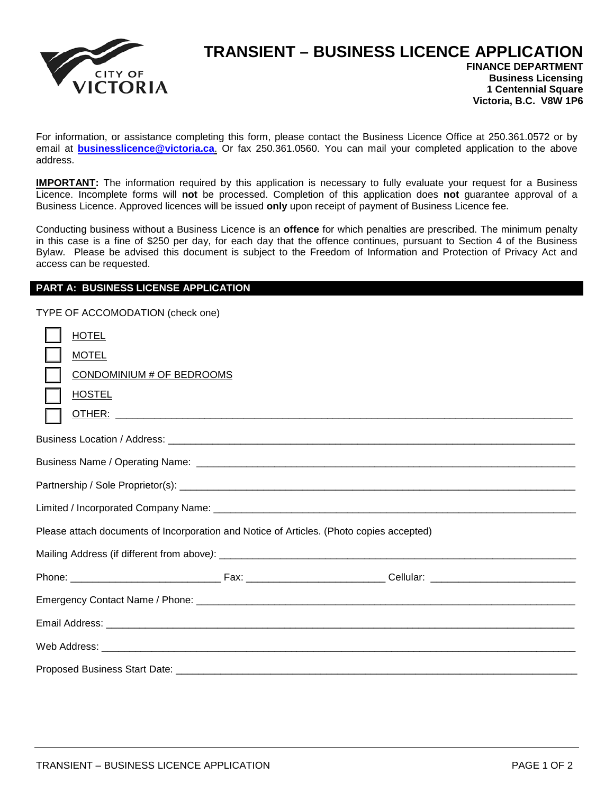

## **TRANSIENT – BUSINESS LICENCE APPLICATION**

**FINANCE DEPARTMENT Business Licensing 1 Centennial Square Victoria, B.C. V8W 1P6**

For information, or assistance completing this form, please contact the Business Licence Office at 250.361.0572 or by email at **businesslicence@victoria.ca**. Or fax 250.361.0560. You can mail your completed application to the above address.

**IMPORTANT:** The information required by this application is necessary to fully evaluate your request for a Business Licence. Incomplete forms will **not** be processed. Completion of this application does **not** guarantee approval of a Business Licence. Approved licences will be issued **only** upon receipt of payment of Business Licence fee.

Conducting business without a Business Licence is an **offence** for which penalties are prescribed. The minimum penalty in this case is a fine of \$250 per day, for each day that the offence continues, pursuant to Section 4 of the Business Bylaw. Please be advised this document is subject to the Freedom of Information and Protection of Privacy Act and access can be requested.

## **PART A: BUSINESS LICENSE APPLICATION**

TYPE OF ACCOMODATION (check one)

| <b>HOTEL</b><br><b>MOTEL</b><br>CONDOMINIUM # OF BEDROOMS<br><b>HOSTEL</b>               |  |  |  |  |  |  |  |
|------------------------------------------------------------------------------------------|--|--|--|--|--|--|--|
|                                                                                          |  |  |  |  |  |  |  |
|                                                                                          |  |  |  |  |  |  |  |
|                                                                                          |  |  |  |  |  |  |  |
|                                                                                          |  |  |  |  |  |  |  |
| Please attach documents of Incorporation and Notice of Articles. (Photo copies accepted) |  |  |  |  |  |  |  |
|                                                                                          |  |  |  |  |  |  |  |
|                                                                                          |  |  |  |  |  |  |  |
|                                                                                          |  |  |  |  |  |  |  |
|                                                                                          |  |  |  |  |  |  |  |
|                                                                                          |  |  |  |  |  |  |  |
|                                                                                          |  |  |  |  |  |  |  |